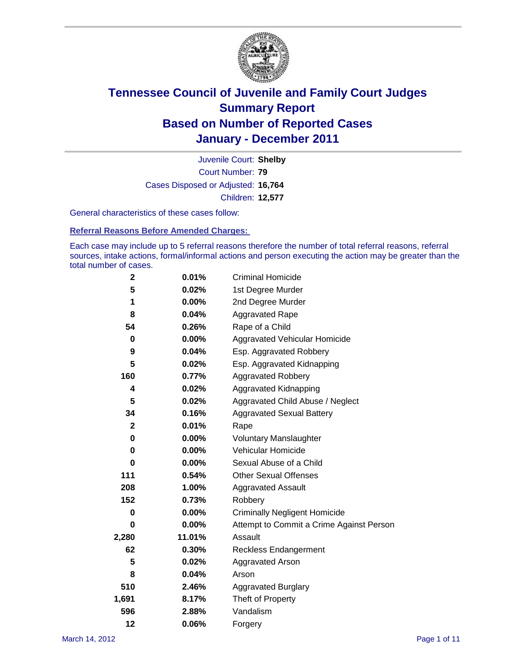

Court Number: **79** Juvenile Court: **Shelby** Cases Disposed or Adjusted: **16,764** Children: **12,577**

General characteristics of these cases follow:

**Referral Reasons Before Amended Charges:** 

Each case may include up to 5 referral reasons therefore the number of total referral reasons, referral sources, intake actions, formal/informal actions and person executing the action may be greater than the total number of cases.

| $\mathbf{2}$ | 0.01%  | <b>Criminal Homicide</b>                 |
|--------------|--------|------------------------------------------|
| 5            | 0.02%  | 1st Degree Murder                        |
| 1            | 0.00%  | 2nd Degree Murder                        |
| 8            | 0.04%  | <b>Aggravated Rape</b>                   |
| 54           | 0.26%  | Rape of a Child                          |
| $\mathbf 0$  | 0.00%  | Aggravated Vehicular Homicide            |
| 9            | 0.04%  | Esp. Aggravated Robbery                  |
| 5            | 0.02%  | Esp. Aggravated Kidnapping               |
| 160          | 0.77%  | <b>Aggravated Robbery</b>                |
| 4            | 0.02%  | Aggravated Kidnapping                    |
| 5            | 0.02%  | Aggravated Child Abuse / Neglect         |
| 34           | 0.16%  | <b>Aggravated Sexual Battery</b>         |
| $\mathbf{2}$ | 0.01%  | Rape                                     |
| $\pmb{0}$    | 0.00%  | <b>Voluntary Manslaughter</b>            |
| 0            | 0.00%  | Vehicular Homicide                       |
| $\bf{0}$     | 0.00%  | Sexual Abuse of a Child                  |
| 111          | 0.54%  | <b>Other Sexual Offenses</b>             |
| 208          | 1.00%  | Aggravated Assault                       |
| 152          | 0.73%  | Robbery                                  |
| 0            | 0.00%  | <b>Criminally Negligent Homicide</b>     |
| 0            | 0.00%  | Attempt to Commit a Crime Against Person |
| 2,280        | 11.01% | Assault                                  |
| 62           | 0.30%  | <b>Reckless Endangerment</b>             |
| 5            | 0.02%  | <b>Aggravated Arson</b>                  |
| 8            | 0.04%  | Arson                                    |
| 510          | 2.46%  | <b>Aggravated Burglary</b>               |
| 1,691        | 8.17%  | Theft of Property                        |
| 596          | 2.88%  | Vandalism                                |
| 12           | 0.06%  | Forgery                                  |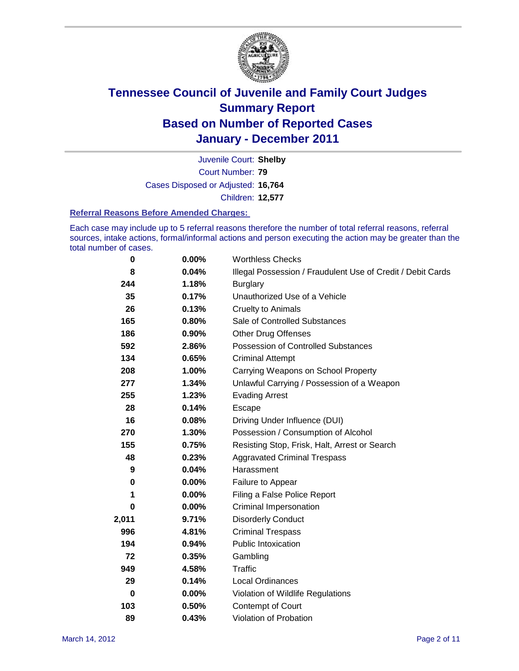

Court Number: **79** Juvenile Court: **Shelby** Cases Disposed or Adjusted: **16,764** Children: **12,577**

#### **Referral Reasons Before Amended Charges:**

Each case may include up to 5 referral reasons therefore the number of total referral reasons, referral sources, intake actions, formal/informal actions and person executing the action may be greater than the total number of cases.

| 0        | 0.00%    | <b>Worthless Checks</b>                                     |
|----------|----------|-------------------------------------------------------------|
| 8        | 0.04%    | Illegal Possession / Fraudulent Use of Credit / Debit Cards |
| 244      | 1.18%    | <b>Burglary</b>                                             |
| 35       | 0.17%    | Unauthorized Use of a Vehicle                               |
| 26       | 0.13%    | <b>Cruelty to Animals</b>                                   |
| 165      | 0.80%    | Sale of Controlled Substances                               |
| 186      | 0.90%    | <b>Other Drug Offenses</b>                                  |
| 592      | 2.86%    | Possession of Controlled Substances                         |
| 134      | 0.65%    | <b>Criminal Attempt</b>                                     |
| 208      | 1.00%    | Carrying Weapons on School Property                         |
| 277      | 1.34%    | Unlawful Carrying / Possession of a Weapon                  |
| 255      | 1.23%    | <b>Evading Arrest</b>                                       |
| 28       | 0.14%    | Escape                                                      |
| 16       | 0.08%    | Driving Under Influence (DUI)                               |
| 270      | 1.30%    | Possession / Consumption of Alcohol                         |
| 155      | 0.75%    | Resisting Stop, Frisk, Halt, Arrest or Search               |
| 48       | 0.23%    | <b>Aggravated Criminal Trespass</b>                         |
| 9        | 0.04%    | Harassment                                                  |
| 0        | 0.00%    | Failure to Appear                                           |
| 1        | $0.00\%$ | Filing a False Police Report                                |
| 0        | 0.00%    | <b>Criminal Impersonation</b>                               |
| 2,011    | 9.71%    | <b>Disorderly Conduct</b>                                   |
| 996      | 4.81%    | <b>Criminal Trespass</b>                                    |
| 194      | 0.94%    | <b>Public Intoxication</b>                                  |
| 72       | 0.35%    | Gambling                                                    |
| 949      | 4.58%    | <b>Traffic</b>                                              |
| 29       | 0.14%    | <b>Local Ordinances</b>                                     |
| $\bf{0}$ | 0.00%    | Violation of Wildlife Regulations                           |
| 103      | 0.50%    | Contempt of Court                                           |
| 89       | 0.43%    | Violation of Probation                                      |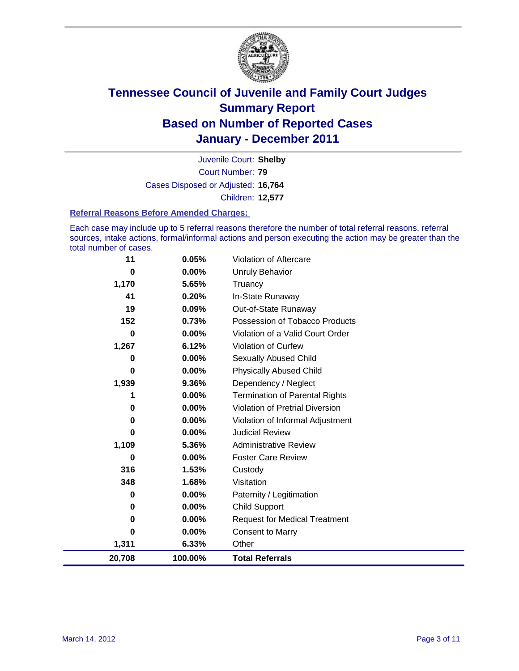

Court Number: **79** Juvenile Court: **Shelby** Cases Disposed or Adjusted: **16,764** Children: **12,577**

#### **Referral Reasons Before Amended Charges:**

Each case may include up to 5 referral reasons therefore the number of total referral reasons, referral sources, intake actions, formal/informal actions and person executing the action may be greater than the total number of cases.

| 11     | 0.05%   | Violation of Aftercare                 |
|--------|---------|----------------------------------------|
| 0      | 0.00%   | <b>Unruly Behavior</b>                 |
| 1,170  | 5.65%   | Truancy                                |
| 41     | 0.20%   | In-State Runaway                       |
| 19     | 0.09%   | Out-of-State Runaway                   |
| 152    | 0.73%   | Possession of Tobacco Products         |
| 0      | 0.00%   | Violation of a Valid Court Order       |
| 1,267  | 6.12%   | <b>Violation of Curfew</b>             |
| 0      | 0.00%   | Sexually Abused Child                  |
| 0      | 0.00%   | <b>Physically Abused Child</b>         |
| 1,939  | 9.36%   | Dependency / Neglect                   |
| 1      | 0.00%   | <b>Termination of Parental Rights</b>  |
| 0      | 0.00%   | <b>Violation of Pretrial Diversion</b> |
| 0      | 0.00%   | Violation of Informal Adjustment       |
| 0      | 0.00%   | <b>Judicial Review</b>                 |
| 1,109  | 5.36%   | <b>Administrative Review</b>           |
| 0      | 0.00%   | <b>Foster Care Review</b>              |
| 316    | 1.53%   | Custody                                |
| 348    | 1.68%   | Visitation                             |
| 0      | 0.00%   | Paternity / Legitimation               |
| 0      | 0.00%   | <b>Child Support</b>                   |
| 0      | 0.00%   | <b>Request for Medical Treatment</b>   |
| O      | 0.00%   | <b>Consent to Marry</b>                |
| 1,311  | 6.33%   | Other                                  |
| 20,708 | 100.00% | <b>Total Referrals</b>                 |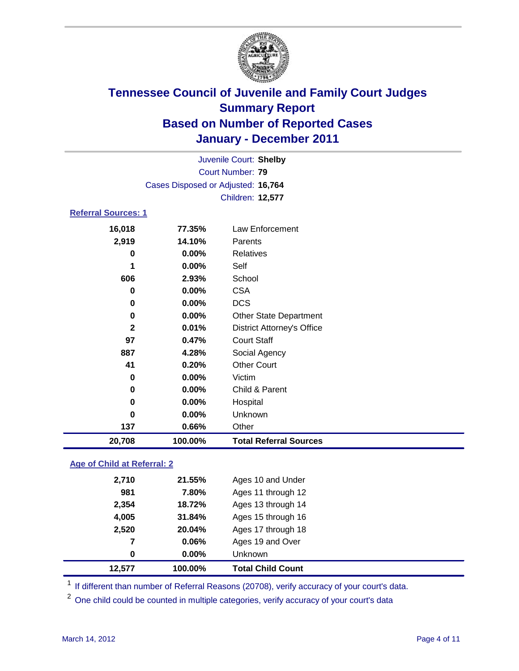

| Juvenile Court: Shelby     |                                    |                                   |  |  |
|----------------------------|------------------------------------|-----------------------------------|--|--|
|                            |                                    | <b>Court Number: 79</b>           |  |  |
|                            | Cases Disposed or Adjusted: 16,764 |                                   |  |  |
|                            | Children: 12,577                   |                                   |  |  |
| <b>Referral Sources: 1</b> |                                    |                                   |  |  |
| 16,018                     | 77.35%                             | <b>Law Enforcement</b>            |  |  |
| 2,919                      | 14.10%                             | Parents                           |  |  |
| 0                          | 0.00%                              | <b>Relatives</b>                  |  |  |
|                            | 0.00%                              | Self                              |  |  |
| 606                        | 2.93%                              | School                            |  |  |
| 0                          | 0.00%                              | <b>CSA</b>                        |  |  |
| 0                          | 0.00%                              | <b>DCS</b>                        |  |  |
| 0                          | 0.00%                              | <b>Other State Department</b>     |  |  |
| $\mathbf{2}$               | 0.01%                              | <b>District Attorney's Office</b> |  |  |
| 97                         | 0.47%                              | <b>Court Staff</b>                |  |  |
| 887                        | 4.28%                              | Social Agency                     |  |  |
| 41                         | 0.20%                              | <b>Other Court</b>                |  |  |
| $\bf{0}$                   | 0.00%                              | Victim                            |  |  |
| 0                          | 0.00%                              | Child & Parent                    |  |  |
| 0                          | 0.00%                              | Hospital                          |  |  |
| $\bf{0}$                   | 0.00%                              | Unknown                           |  |  |
| 137                        | 0.66%                              | Other                             |  |  |
| 20,708                     | 100.00%                            | <b>Total Referral Sources</b>     |  |  |
|                            |                                    |                                   |  |  |

### **Age of Child at Referral: 2**

| 12.577 | 100.00%    | <b>Total Child Count</b> |
|--------|------------|--------------------------|
|        | 0.00%<br>0 | <b>Unknown</b>           |
|        | 0.06%<br>7 | Ages 19 and Over         |
| 2,520  | 20.04%     | Ages 17 through 18       |
| 4,005  | 31.84%     | Ages 15 through 16       |
| 2,354  | 18.72%     | Ages 13 through 14       |
| 981    | 7.80%      | Ages 11 through 12       |
| 2,710  | 21.55%     | Ages 10 and Under        |
|        |            |                          |

<sup>1</sup> If different than number of Referral Reasons (20708), verify accuracy of your court's data.

<sup>2</sup> One child could be counted in multiple categories, verify accuracy of your court's data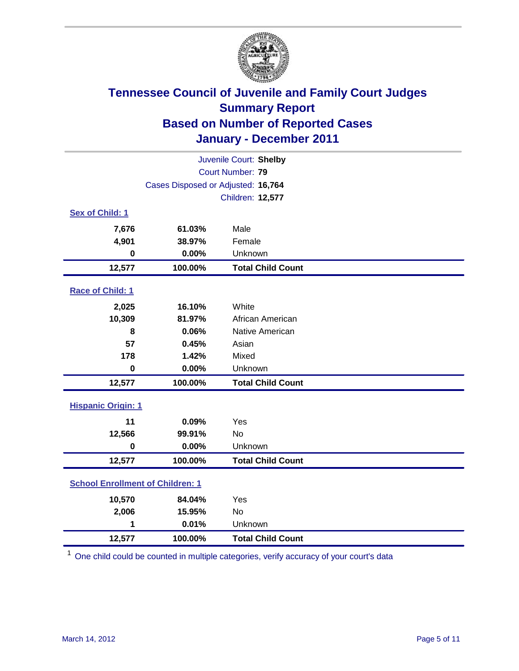

| Juvenile Court: Shelby                  |                                    |                          |  |
|-----------------------------------------|------------------------------------|--------------------------|--|
|                                         | Court Number: 79                   |                          |  |
|                                         | Cases Disposed or Adjusted: 16,764 |                          |  |
|                                         |                                    | Children: 12,577         |  |
| Sex of Child: 1                         |                                    |                          |  |
| 7,676                                   | 61.03%                             | Male                     |  |
| 4,901                                   | 38.97%                             | Female                   |  |
| $\mathbf 0$                             | 0.00%                              | Unknown                  |  |
| 12,577                                  | 100.00%                            | <b>Total Child Count</b> |  |
| Race of Child: 1                        |                                    |                          |  |
| 2,025                                   | 16.10%                             | White                    |  |
| 10,309                                  | 81.97%                             | African American         |  |
| 8                                       | 0.06%                              | Native American          |  |
| 57                                      | 0.45%                              | Asian                    |  |
| 178                                     | 1.42%                              | Mixed                    |  |
| $\mathbf 0$                             | 0.00%                              | Unknown                  |  |
| 12,577                                  | 100.00%                            | <b>Total Child Count</b> |  |
| <b>Hispanic Origin: 1</b>               |                                    |                          |  |
| 11                                      | 0.09%                              | Yes                      |  |
| 12,566                                  | 99.91%                             | No                       |  |
| $\mathbf 0$                             | 0.00%                              | Unknown                  |  |
| 12,577                                  | 100.00%                            | <b>Total Child Count</b> |  |
| <b>School Enrollment of Children: 1</b> |                                    |                          |  |
| 10,570                                  | 84.04%                             | Yes                      |  |
| 2,006                                   | 15.95%                             | <b>No</b>                |  |
| 1                                       | 0.01%                              | Unknown                  |  |
| 12,577                                  | 100.00%                            | <b>Total Child Count</b> |  |

<sup>1</sup> One child could be counted in multiple categories, verify accuracy of your court's data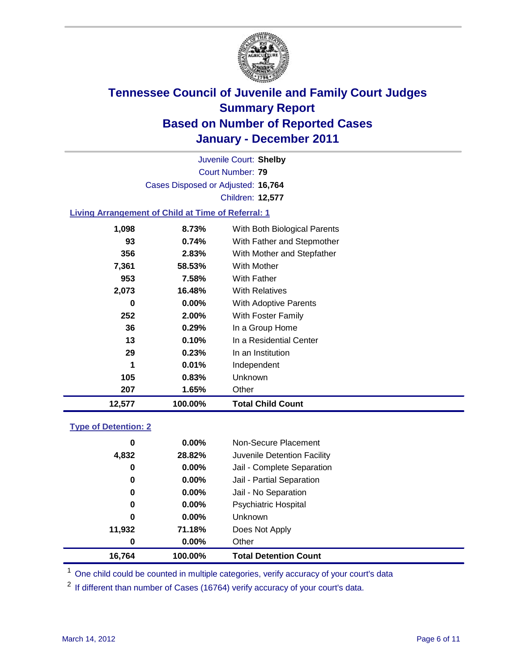

Court Number: **79** Juvenile Court: **Shelby** Cases Disposed or Adjusted: **16,764** Children: **12,577**

### **Living Arrangement of Child at Time of Referral: 1**

| 12,577 | 100.00%  | <b>Total Child Count</b>     |
|--------|----------|------------------------------|
| 207    | 1.65%    | Other                        |
| 105    | 0.83%    | <b>Unknown</b>               |
| 1      | 0.01%    | Independent                  |
| 29     | 0.23%    | In an Institution            |
| 13     | 0.10%    | In a Residential Center      |
| 36     | 0.29%    | In a Group Home              |
| 252    | 2.00%    | With Foster Family           |
| 0      | $0.00\%$ | <b>With Adoptive Parents</b> |
| 2,073  | 16.48%   | <b>With Relatives</b>        |
| 953    | 7.58%    | <b>With Father</b>           |
| 7,361  | 58.53%   | With Mother                  |
| 356    | 2.83%    | With Mother and Stepfather   |
| 93     | 0.74%    | With Father and Stepmother   |
| 1,098  | 8.73%    | With Both Biological Parents |
|        |          |                              |

#### **Type of Detention: 2**

| 16,764 | 100.00%  | <b>Total Detention Count</b> |
|--------|----------|------------------------------|
| 0      | $0.00\%$ | Other                        |
| 11,932 | 71.18%   | Does Not Apply               |
| 0      | $0.00\%$ | <b>Unknown</b>               |
| 0      | $0.00\%$ | <b>Psychiatric Hospital</b>  |
| 0      | 0.00%    | Jail - No Separation         |
| 0      | $0.00\%$ | Jail - Partial Separation    |
| 0      | 0.00%    | Jail - Complete Separation   |
| 4,832  | 28.82%   | Juvenile Detention Facility  |
| 0      | $0.00\%$ | Non-Secure Placement         |
|        |          |                              |

<sup>1</sup> One child could be counted in multiple categories, verify accuracy of your court's data

<sup>2</sup> If different than number of Cases (16764) verify accuracy of your court's data.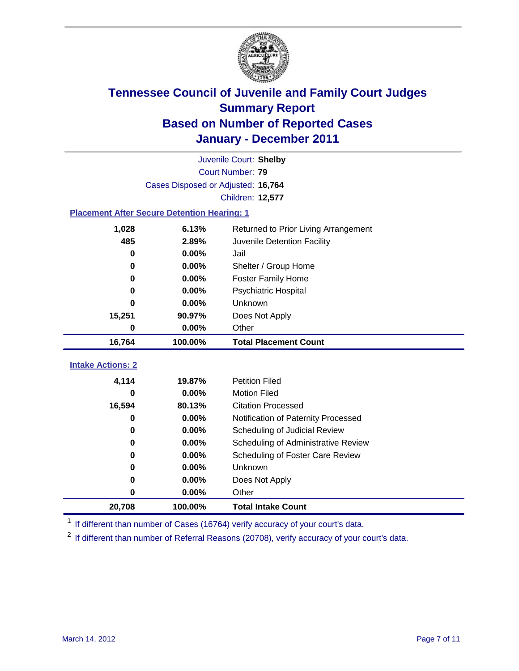

| Juvenile Court: Shelby                             |                                    |                                      |  |  |  |
|----------------------------------------------------|------------------------------------|--------------------------------------|--|--|--|
| Court Number: 79                                   |                                    |                                      |  |  |  |
|                                                    | Cases Disposed or Adjusted: 16,764 |                                      |  |  |  |
|                                                    |                                    | Children: 12,577                     |  |  |  |
| <b>Placement After Secure Detention Hearing: 1</b> |                                    |                                      |  |  |  |
| 1,028                                              | 6.13%                              | Returned to Prior Living Arrangement |  |  |  |
| 485                                                | 2.89%                              | Juvenile Detention Facility          |  |  |  |
| $\bf{0}$                                           | 0.00%                              | Jail                                 |  |  |  |
| 0                                                  | 0.00%                              | Shelter / Group Home                 |  |  |  |
| 0                                                  | 0.00%                              | Foster Family Home                   |  |  |  |
| 0                                                  | 0.00%                              | Psychiatric Hospital                 |  |  |  |
| 0                                                  | 0.00%                              | Unknown                              |  |  |  |
| 15,251                                             | 90.97%                             | Does Not Apply                       |  |  |  |
| 0                                                  | $0.00\%$                           | Other                                |  |  |  |
| 16,764                                             | 100.00%                            | <b>Total Placement Count</b>         |  |  |  |
| <b>Intake Actions: 2</b>                           |                                    |                                      |  |  |  |
|                                                    |                                    |                                      |  |  |  |
| 4,114                                              | 19.87%                             | <b>Petition Filed</b>                |  |  |  |
| 0                                                  | $0.00\%$                           | <b>Motion Filed</b>                  |  |  |  |
| 16,594                                             | 80.13%                             | <b>Citation Processed</b>            |  |  |  |
| 0                                                  | 0.00%                              | Notification of Paternity Processed  |  |  |  |
| 0                                                  | 0.00%                              | Scheduling of Judicial Review        |  |  |  |
| 0                                                  | 0.00%                              | Scheduling of Administrative Review  |  |  |  |
| 0                                                  | 0.00%                              | Scheduling of Foster Care Review     |  |  |  |
| 0                                                  | 0.00%                              | Unknown                              |  |  |  |
| 0                                                  | 0.00%                              | Does Not Apply                       |  |  |  |
| 0                                                  | 0.00%                              | Other                                |  |  |  |
| 20,708                                             | 100.00%                            | <b>Total Intake Count</b>            |  |  |  |

<sup>1</sup> If different than number of Cases (16764) verify accuracy of your court's data.

<sup>2</sup> If different than number of Referral Reasons (20708), verify accuracy of your court's data.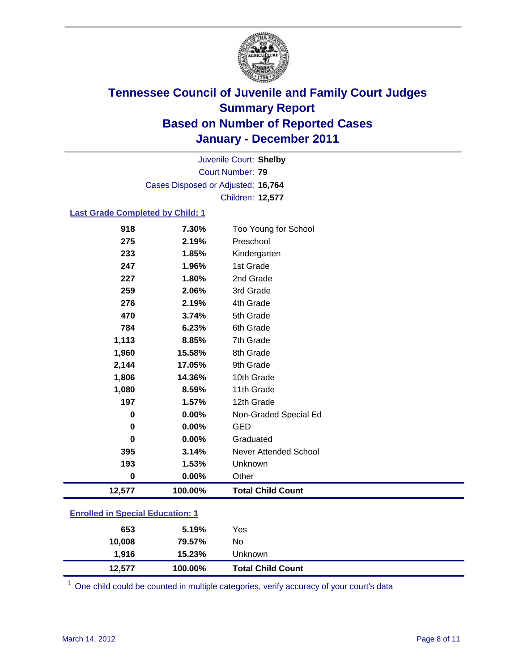

Court Number: **79** Juvenile Court: **Shelby** Cases Disposed or Adjusted: **16,764** Children: **12,577**

### **Last Grade Completed by Child: 1**

| 918                                     | 7.30%         | Too Young for School     |
|-----------------------------------------|---------------|--------------------------|
| 275                                     | 2.19%         | Preschool                |
| 233                                     | 1.85%         | Kindergarten             |
| 247                                     | 1.96%         | 1st Grade                |
| 227                                     | 1.80%         | 2nd Grade                |
| 259                                     | 2.06%         | 3rd Grade                |
| 276                                     | 2.19%         | 4th Grade                |
| 470                                     | 3.74%         | 5th Grade                |
| 784                                     | 6.23%         | 6th Grade                |
| 1,113                                   | 8.85%         | 7th Grade                |
| 1,960                                   | 15.58%        | 8th Grade                |
| 2,144                                   | 17.05%        | 9th Grade                |
| 1,806                                   | 14.36%        | 10th Grade               |
| 1,080                                   | 8.59%         | 11th Grade               |
| 197                                     | 1.57%         | 12th Grade               |
| 0                                       | 0.00%         | Non-Graded Special Ed    |
| 0                                       | 0.00%         | <b>GED</b>               |
| 0                                       | $0.00\%$      | Graduated                |
| 395                                     | 3.14%         | Never Attended School    |
| 193                                     | 1.53%         | Unknown                  |
| 0                                       | 0.00%         | Other                    |
| 12,577                                  | 100.00%       | <b>Total Child Count</b> |
| <b>Enrolled in Special Education: 1</b> |               |                          |
| $\sim$ $\sim$                           | <b>F</b> 400/ |                          |

| 12.577 | 100.00% | <b>Total Child Count</b> |  |
|--------|---------|--------------------------|--|
| 1,916  | 15.23%  | Unknown                  |  |
| 10.008 | 79.57%  | No                       |  |
| 653    | 5.19%   | Yes                      |  |

 $1$  One child could be counted in multiple categories, verify accuracy of your court's data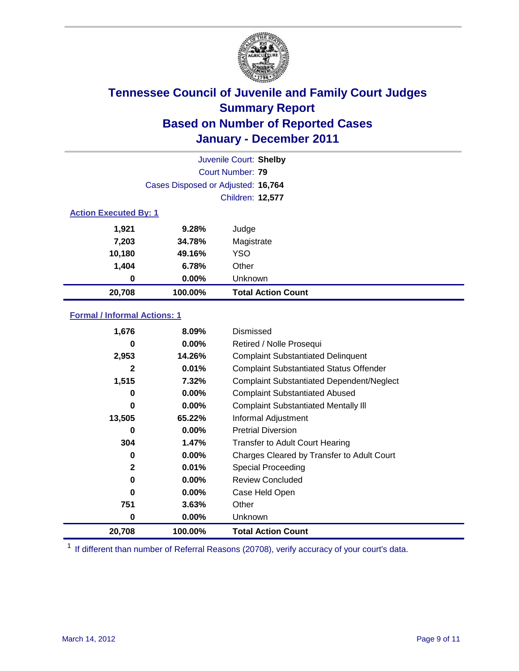

|                  | Juvenile Court: Shelby             |                           |  |  |  |
|------------------|------------------------------------|---------------------------|--|--|--|
|                  |                                    | Court Number: 79          |  |  |  |
|                  | Cases Disposed or Adjusted: 16,764 |                           |  |  |  |
| Children: 12,577 |                                    |                           |  |  |  |
|                  | <b>Action Executed By: 1</b>       |                           |  |  |  |
| 1,921            | 9.28%                              | Judge                     |  |  |  |
| 7,203            | 34.78%                             | Magistrate                |  |  |  |
| 10,180           | 49.16%                             | YSO                       |  |  |  |
| 1,404            | 6.78%                              | Other                     |  |  |  |
| 0                | $0.00\%$                           | Unknown                   |  |  |  |
| 20,708           | 100.00%                            | <b>Total Action Count</b> |  |  |  |

### **Formal / Informal Actions: 1**

| 1,676        | $8.09\%$ | Dismissed                                        |
|--------------|----------|--------------------------------------------------|
| 0            | $0.00\%$ | Retired / Nolle Prosequi                         |
| 2,953        | 14.26%   | <b>Complaint Substantiated Delinquent</b>        |
| 2            | 0.01%    | <b>Complaint Substantiated Status Offender</b>   |
| 1,515        | 7.32%    | <b>Complaint Substantiated Dependent/Neglect</b> |
| 0            | $0.00\%$ | <b>Complaint Substantiated Abused</b>            |
| 0            | $0.00\%$ | <b>Complaint Substantiated Mentally III</b>      |
| 13,505       | 65.22%   | Informal Adjustment                              |
| 0            | $0.00\%$ | <b>Pretrial Diversion</b>                        |
| 304          | 1.47%    | <b>Transfer to Adult Court Hearing</b>           |
| 0            | $0.00\%$ | Charges Cleared by Transfer to Adult Court       |
| $\mathbf{2}$ | 0.01%    | Special Proceeding                               |
| 0            | $0.00\%$ | <b>Review Concluded</b>                          |
| 0            | $0.00\%$ | Case Held Open                                   |
| 751          | 3.63%    | Other                                            |
| 0            | $0.00\%$ | Unknown                                          |
| 20,708       | 100.00%  | <b>Total Action Count</b>                        |

<sup>1</sup> If different than number of Referral Reasons (20708), verify accuracy of your court's data.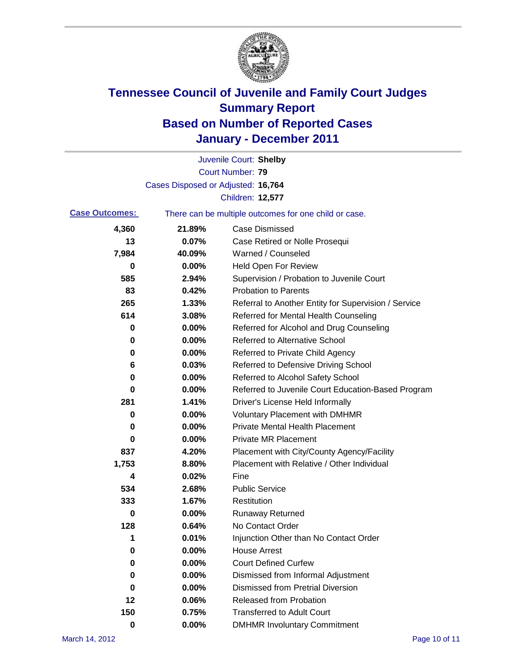

|                       |                                    | Juvenile Court: Shelby                                |
|-----------------------|------------------------------------|-------------------------------------------------------|
|                       |                                    | Court Number: 79                                      |
|                       | Cases Disposed or Adjusted: 16,764 |                                                       |
|                       |                                    | Children: 12,577                                      |
| <b>Case Outcomes:</b> |                                    | There can be multiple outcomes for one child or case. |
| 4,360                 | 21.89%                             | <b>Case Dismissed</b>                                 |
| 13                    | 0.07%                              | Case Retired or Nolle Prosequi                        |
| 7,984                 | 40.09%                             | Warned / Counseled                                    |
| 0                     | 0.00%                              | <b>Held Open For Review</b>                           |
| 585                   | 2.94%                              | Supervision / Probation to Juvenile Court             |
| 83                    | 0.42%                              | <b>Probation to Parents</b>                           |
| 265                   | 1.33%                              | Referral to Another Entity for Supervision / Service  |
| 614                   | 3.08%                              | Referred for Mental Health Counseling                 |
| 0                     | 0.00%                              | Referred for Alcohol and Drug Counseling              |
| 0                     | 0.00%                              | <b>Referred to Alternative School</b>                 |
| 0                     | 0.00%                              | Referred to Private Child Agency                      |
| 6                     | 0.03%                              | Referred to Defensive Driving School                  |
| 0                     | 0.00%                              | Referred to Alcohol Safety School                     |
| 0                     | 0.00%                              | Referred to Juvenile Court Education-Based Program    |
| 281                   | 1.41%                              | Driver's License Held Informally                      |
| 0                     | 0.00%                              | <b>Voluntary Placement with DMHMR</b>                 |
| 0                     | 0.00%                              | <b>Private Mental Health Placement</b>                |
| 0                     | 0.00%                              | <b>Private MR Placement</b>                           |
| 837                   | 4.20%                              | Placement with City/County Agency/Facility            |
| 1,753                 | 8.80%                              | Placement with Relative / Other Individual            |
| 4                     | 0.02%                              | Fine                                                  |
| 534                   | 2.68%                              | <b>Public Service</b>                                 |
| 333                   | 1.67%                              | Restitution                                           |
| 0                     | 0.00%                              | <b>Runaway Returned</b>                               |
| 128                   | 0.64%                              | No Contact Order                                      |
| 1                     | 0.01%                              | Injunction Other than No Contact Order                |
| 0                     | 0.00%                              | <b>House Arrest</b>                                   |
| 0                     | 0.00%                              | <b>Court Defined Curfew</b>                           |
| 0                     | 0.00%                              | Dismissed from Informal Adjustment                    |
| 0                     | 0.00%                              | <b>Dismissed from Pretrial Diversion</b>              |
| 12                    | 0.06%                              | Released from Probation                               |
| 150                   | 0.75%                              | <b>Transferred to Adult Court</b>                     |
| $\mathbf 0$           | 0.00%                              | <b>DMHMR Involuntary Commitment</b>                   |